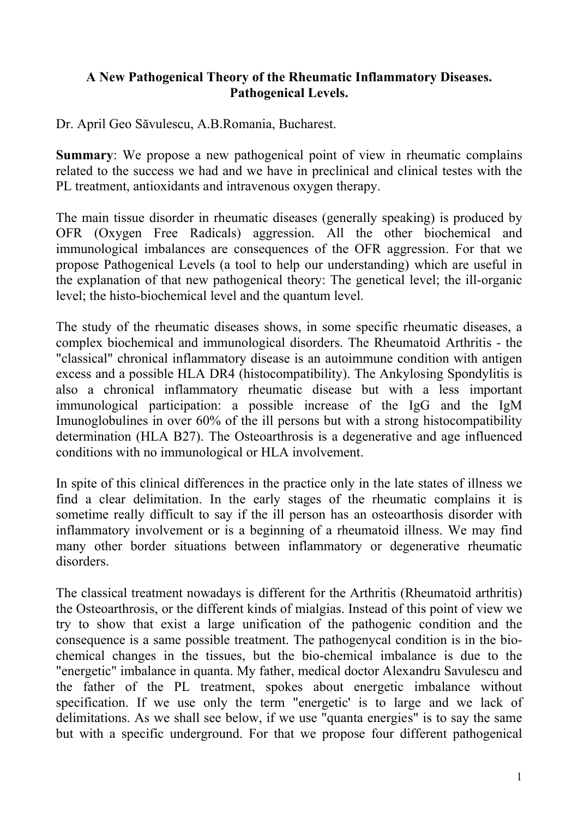## **A New Pathogenical Theory of the Rheumatic Inflammatory Diseases. Pathogenical Levels.**

Dr. April Geo Săvulescu, A.B.Romania, Bucharest.

**Summary:** We propose a new pathogenical point of view in rheumatic complains related to the success we had and we have in preclinical and clinical testes with the PL treatment, antioxidants and intravenous oxygen therapy.

The main tissue disorder in rheumatic diseases (generally speaking) is produced by OFR (Oxygen Free Radicals) aggression. All the other biochemical and immunological imbalances are consequences of the OFR aggression. For that we propose Pathogenical Levels (a tool to help our understanding) which are useful in the explanation of that new pathogenical theory: The genetical level; the ill-organic level; the histo-biochemical level and the quantum level.

The study of the rheumatic diseases shows, in some specific rheumatic diseases, a complex biochemical and immunological disorders. The Rheumatoid Arthritis - the "classical" chronical inflammatory disease is an autoimmune condition with antigen excess and a possible HLA DR4 (histocompatibility). The Ankylosing Spondylitis is also a chronical inflammatory rheumatic disease but with a less important immunological participation: a possible increase of the IgG and the IgM Imunoglobulines in over 60% of the ill persons but with a strong histocompatibility determination (HLA B27). The Osteoarthrosis is a degenerative and age influenced conditions with no immunological or HLA involvement.

In spite of this clinical differences in the practice only in the late states of illness we find a clear delimitation. In the early stages of the rheumatic complains it is sometime really difficult to say if the ill person has an osteoarthosis disorder with inflammatory involvement or is a beginning of a rheumatoid illness. We may find many other border situations between inflammatory or degenerative rheumatic disorders.

The classical treatment nowadays is different for the Arthritis (Rheumatoid arthritis) the Osteoarthrosis, or the different kinds of mialgias. Instead of this point of view we try to show that exist a large unification of the pathogenic condition and the consequence is a same possible treatment. The pathogenycal condition is in the biochemical changes in the tissues, but the bio-chemical imbalance is due to the "energetic" imbalance in quanta. My father, medical doctor Alexandru Savulescu and the father of the PL treatment, spokes about energetic imbalance without specification. If we use only the term "energetic' is to large and we lack of delimitations. As we shall see below, if we use "quanta energies" is to say the same but with a specific underground. For that we propose four different pathogenical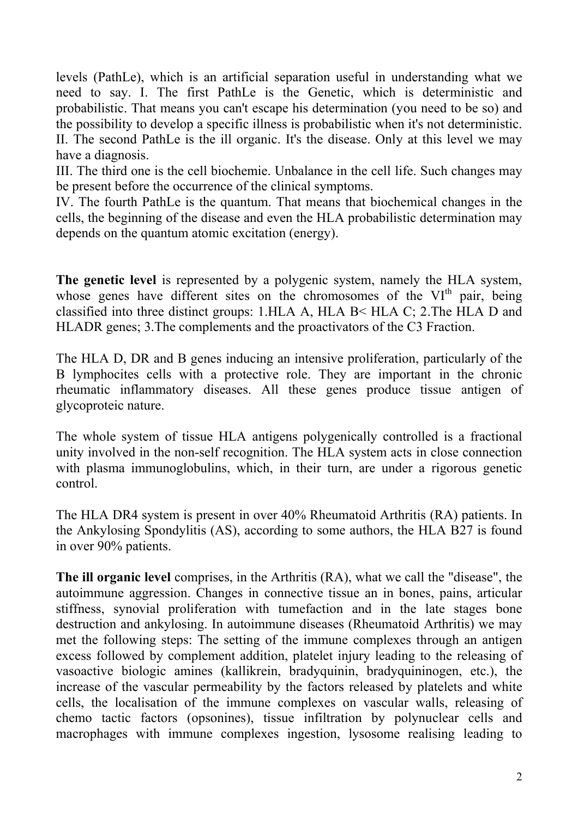levels (PathLe), which is an artificial separation useful in understanding what we need to say. I. The first PathLe is the Genetic, which is deterministic and probabilistic. That means you can't escape his determination (you need to be so) and the possibility to develop a specific illness is probabilistic when it's not deterministic. II. The second PathLe is the ill organic. It's the disease. Only at this level we may have a diagnosis.

III. The third one is the cell biochemie. Unbalance in the cell life. Such changes may be present before the occurrence of the clinical symptoms.

IV. The fourth PathLe is the quantum. That means that biochemical changes in the cells, the beginning of the disease and even the HLA probabilistic determination may depends on the quantum atomic excitation (energy).

**The genetic level** is represented by a polygenic system, namely the HLA system, whose genes have different sites on the chromosomes of the VI<sup>th</sup> pair, being classified into three distinct groups: 1.HLA A, HLA B< HLA C; 2.The HLA D and HLADR genes; 3.The complements and the proactivators of the C3 Fraction.

The HLA D, DR and B genes inducing an intensive proliferation, particularly of the B lymphocites cells with a protective role. They are important in the chronic rheumatic inflammatory diseases. All these genes produce tissue antigen of glycoproteic nature.

The whole system of tissue HLA antigens polygenically controlled is a fractional unity involved in the non-self recognition. The HLA system acts in close connection with plasma immunoglobulins, which, in their turn, are under a rigorous genetic control.

The HLA DR4 system is present in over 40% Rheumatoid Arthritis (RA) patients. In the Ankylosing Spondylitis (AS), according to some authors, the HLA B27 is found in over 90% patients.

**The ill organic level** comprises, in the Arthritis (RA), what we call the "disease", the autoimmune aggression. Changes in connective tissue an in bones, pains, articular stiffness, synovial proliferation with tumefaction and in the late stages bone destruction and ankylosing. In autoimmune diseases (Rheumatoid Arthritis) we may met the following steps: The setting of the immune complexes through an antigen excess followed by complement addition, platelet injury leading to the releasing of vasoactive biologic amines (kallikrein, bradyquinin, bradyquininogen, etc.), the increase of the vascular permeability by the factors released by platelets and white cells, the localisation of the immune complexes on vascular walls, releasing of chemo tactic factors (opsonines), tissue infiltration by polynuclear cells and macrophages with immune complexes ingestion, lysosome realising leading to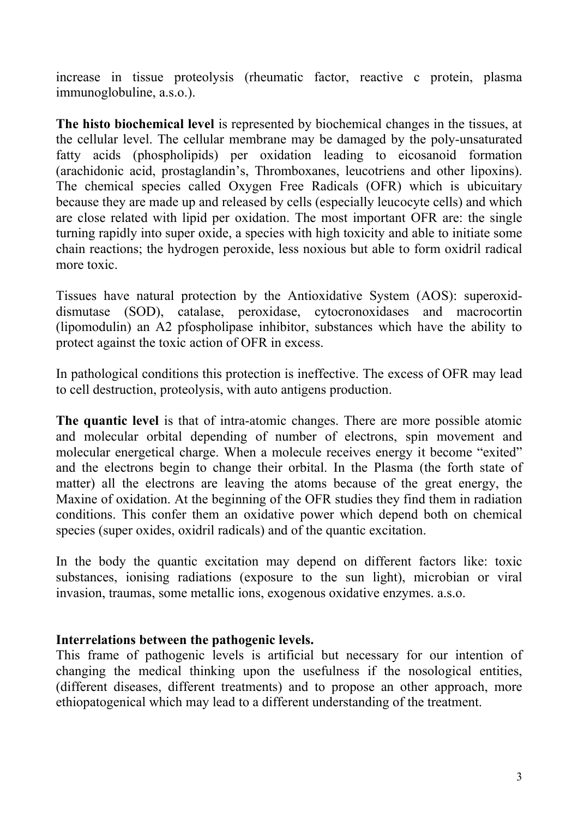increase in tissue proteolysis (rheumatic factor, reactive c protein, plasma immunoglobuline, a.s.o.).

**The histo biochemical level** is represented by biochemical changes in the tissues, at the cellular level. The cellular membrane may be damaged by the poly-unsaturated fatty acids (phospholipids) per oxidation leading to eicosanoid formation (arachidonic acid, prostaglandin's, Thromboxanes, leucotriens and other lipoxins). The chemical species called Oxygen Free Radicals (OFR) which is ubicuitary because they are made up and released by cells (especially leucocyte cells) and which are close related with lipid per oxidation. The most important OFR are: the single turning rapidly into super oxide, a species with high toxicity and able to initiate some chain reactions; the hydrogen peroxide, less noxious but able to form oxidril radical more toxic.

Tissues have natural protection by the Antioxidative System (AOS): superoxiddismutase (SOD), catalase, peroxidase, cytocronoxidases and macrocortin (lipomodulin) an A2 pfospholipase inhibitor, substances which have the ability to protect against the toxic action of OFR in excess.

In pathological conditions this protection is ineffective. The excess of OFR may lead to cell destruction, proteolysis, with auto antigens production.

**The quantic level** is that of intra-atomic changes. There are more possible atomic and molecular orbital depending of number of electrons, spin movement and molecular energetical charge. When a molecule receives energy it become "exited" and the electrons begin to change their orbital. In the Plasma (the forth state of matter) all the electrons are leaving the atoms because of the great energy, the Maxine of oxidation. At the beginning of the OFR studies they find them in radiation conditions. This confer them an oxidative power which depend both on chemical species (super oxides, oxidril radicals) and of the quantic excitation.

In the body the quantic excitation may depend on different factors like: toxic substances, ionising radiations (exposure to the sun light), microbian or viral invasion, traumas, some metallic ions, exogenous oxidative enzymes. a.s.o.

## **Interrelations between the pathogenic levels.**

This frame of pathogenic levels is artificial but necessary for our intention of changing the medical thinking upon the usefulness if the nosological entities, (different diseases, different treatments) and to propose an other approach, more ethiopatogenical which may lead to a different understanding of the treatment.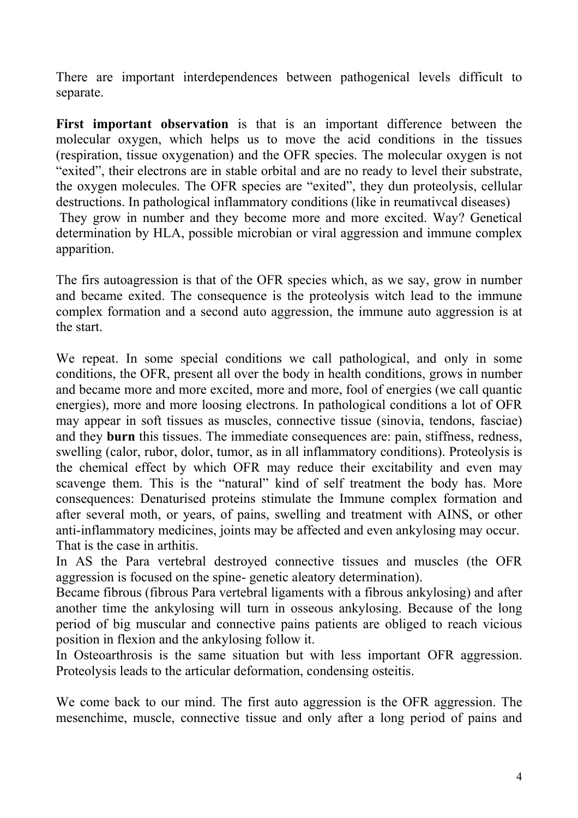There are important interdependences between pathogenical levels difficult to separate.

**First important observation** is that is an important difference between the molecular oxygen, which helps us to move the acid conditions in the tissues (respiration, tissue oxygenation) and the OFR species. The molecular oxygen is not "exited", their electrons are in stable orbital and are no ready to level their substrate, the oxygen molecules. The OFR species are "exited", they dun proteolysis, cellular destructions. In pathological inflammatory conditions (like in reumativcal diseases) They grow in number and they become more and more excited. Way? Genetical determination by HLA, possible microbian or viral aggression and immune complex apparition.

The firs autoagression is that of the OFR species which, as we say, grow in number and became exited. The consequence is the proteolysis witch lead to the immune complex formation and a second auto aggression, the immune auto aggression is at the start.

We repeat. In some special conditions we call pathological, and only in some conditions, the OFR, present all over the body in health conditions, grows in number and became more and more excited, more and more, fool of energies (we call quantic energies), more and more loosing electrons. In pathological conditions a lot of OFR may appear in soft tissues as muscles, connective tissue (sinovia, tendons, fasciae) and they **burn** this tissues. The immediate consequences are: pain, stiffness, redness, swelling (calor, rubor, dolor, tumor, as in all inflammatory conditions). Proteolysis is the chemical effect by which OFR may reduce their excitability and even may scavenge them. This is the "natural" kind of self treatment the body has. More consequences: Denaturised proteins stimulate the Immune complex formation and after several moth, or years, of pains, swelling and treatment with AINS, or other anti-inflammatory medicines, joints may be affected and even ankylosing may occur. That is the case in arthitis.

In AS the Para vertebral destroyed connective tissues and muscles (the OFR aggression is focused on the spine- genetic aleatory determination).

Became fibrous (fibrous Para vertebral ligaments with a fibrous ankylosing) and after another time the ankylosing will turn in osseous ankylosing. Because of the long period of big muscular and connective pains patients are obliged to reach vicious position in flexion and the ankylosing follow it.

In Osteoarthrosis is the same situation but with less important OFR aggression. Proteolysis leads to the articular deformation, condensing osteitis.

We come back to our mind. The first auto aggression is the OFR aggression. The mesenchime, muscle, connective tissue and only after a long period of pains and